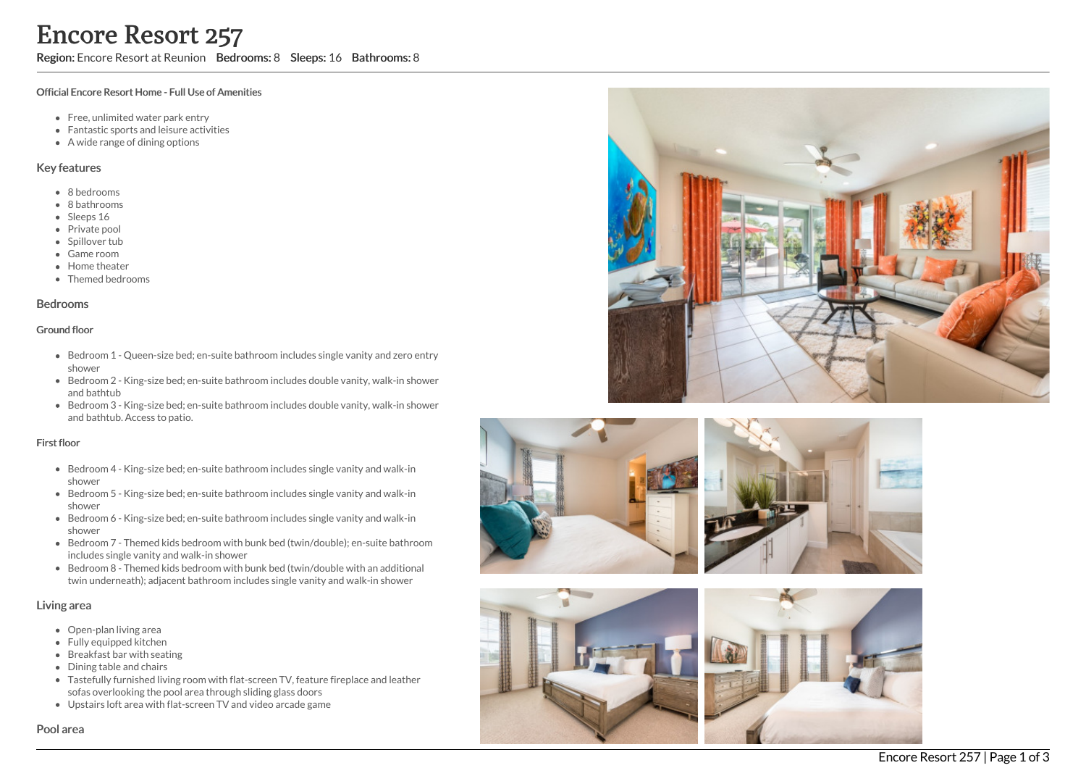Region: Encore Resort at Reunion Bedrooms: 8 Sleeps: 16 Bathrooms: 8

#### Official Encore Resort Home - Full Use of Amenities

- Free, unlimited water park entry
- Fantastic sports and leisure activities
- A wide range of dining options

### Key features

- 8 b e d r o o m s
- 8 bathrooms
- Sleeps 16
- Private pool
- Spillover tub
- Game room
- Home theate r
- Themed bedrooms

#### **Bedrooms**

#### Ground floor

- Bedroom 1 Queen-size bed; en-suite bathroom includes single vanity and zero entry s h o w e r
- Bedroom 2 King-size bed; en-suite bathroom includes double vanity, walk-in shower and bathtub
- Bedroom 3 King-size bed; en-suite bathroom includes double vanity, walk-in shower and bathtub. Access to patio.

#### First floor

- Bedroom 4 King-size bed; en-suite bathroom includes single vanity and walk-in s h o w e r
- Bedroom 5 King-size bed; en-suite bathroom includes single vanity and walk-in s h o w e r
- Bedroom 6 King-size bed; en-suite bathroom includes single vanity and walk-in s h o w e r
- Bedroom 7 Themed kids bedroom with bunk bed (twin/double); en-suite bathroom includes single vanity and walk-in shower
- Bedroom 8 Themed kids bedroom with bunk bed (twin/double with an additional twin underneath); adjacent bathroom includes single vanity and walk-in shower

### Living area

- Open-plan living area
- Fully equipped kitchen
- Breakfast bar with seating
- Dining table and chairs
- Tastefully furnished living room with flat-screen TV, feature fireplace and leather sofas overlooking the pool area through sliding glass doors
- Upstairs loft area with flat-screen TV and video arcade game









### Pool area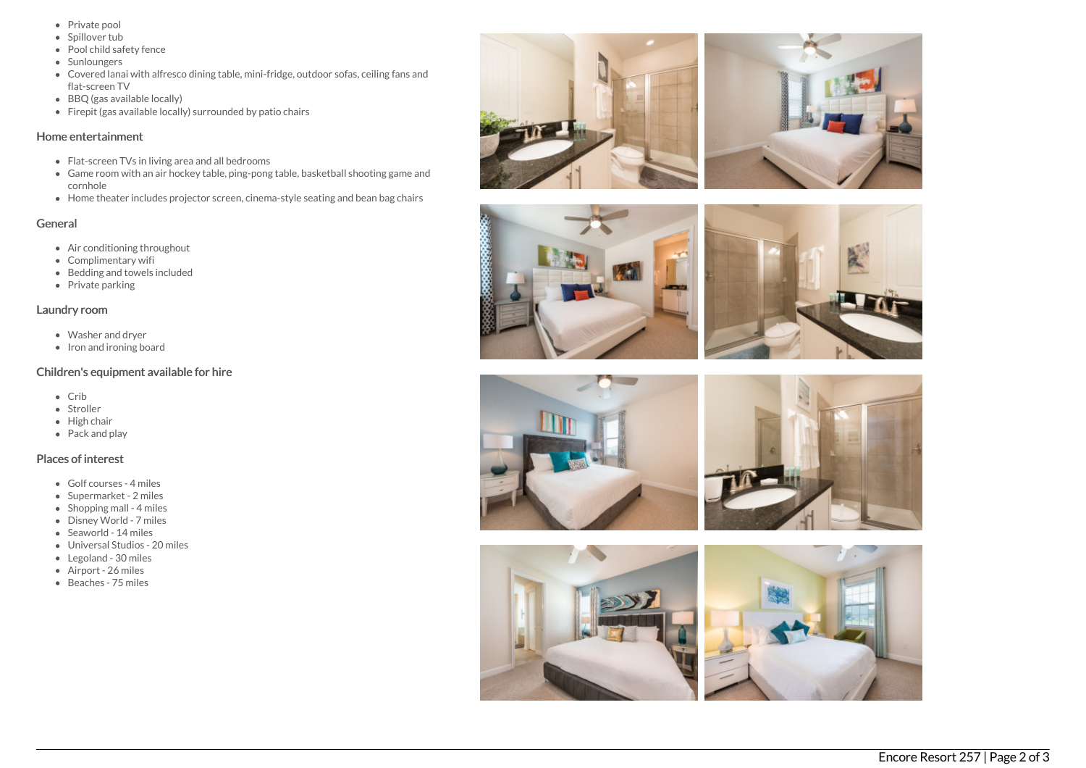- Private pool
- Spillover tub
- Pool child safety fence
- Sunloungers
- Covered lanai with alfresco dining table, mini-fridge, outdoor sofas, ceiling fans and flat-screen TV
- BBQ (gas available locally)
- Firepit (gas available locally) surrounded by patio chairs

## Home entertainment

- Flat-screen TVs in living area and all bedrooms
- Game room with an air hockey table, ping-pong table, basketball shooting game and cornhole
- Home theater includes projector screen, cinema-style seating and bean bag chairs

# General

- Air conditioning throughout
- Complimentary wifi
- Bedding and towels included
- Private parking

## Laundry room

- Washer and dryer
- Iron and ironing board

# Children's equipment available for hire

- Crib
- Stroller
- $\bullet$  High chair
- Pack and play

# Places of interest

- Golf courses 4 miles
- Supermarket 2 miles
- $\bullet$  Shopping mall 4 miles
- Disney World 7 miles
- Seaworld 14 miles
- Universal Studios 20 miles
- Legoland 30 miles
- Airport 26 miles
- Beaches 75 miles